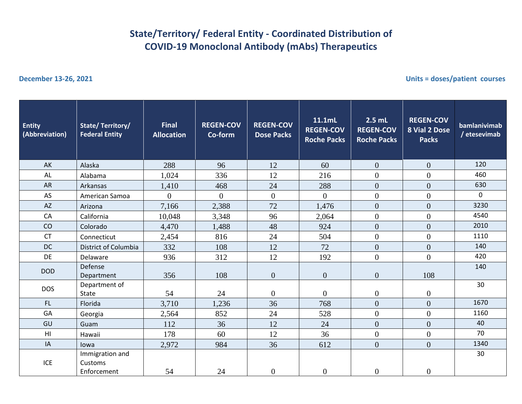## **State/Territory/ Federal Entity - Coordinated Distribution of COVID-19 Monoclonal Antibody (mAbs) Therapeutics**

**December 13-26, 2021 Units = doses/patient courses**

| <b>Entity</b><br>(Abbreviation) | State/Territory/<br><b>Federal Entity</b> | <b>Final</b><br><b>Allocation</b> | <b>REGEN-COV</b><br>Co-form | <b>REGEN-COV</b><br><b>Dose Packs</b> | 11.1mL<br><b>REGEN-COV</b><br><b>Roche Packs</b> | $2.5$ mL<br><b>REGEN-COV</b><br><b>Roche Packs</b> | <b>REGEN-COV</b><br>8 Vial 2 Dose<br><b>Packs</b> | bamlanivimab<br>/ etesevimab |
|---------------------------------|-------------------------------------------|-----------------------------------|-----------------------------|---------------------------------------|--------------------------------------------------|----------------------------------------------------|---------------------------------------------------|------------------------------|
| AK                              | Alaska                                    | 288                               | 96                          | 12                                    | 60                                               | $\overline{0}$                                     | $\overline{0}$                                    | 120                          |
| AL                              | Alabama                                   | 1,024                             | 336                         | 12                                    | 216                                              | $\overline{0}$                                     | $\overline{0}$                                    | 460                          |
| AR                              | Arkansas                                  | 1,410                             | 468                         | 24                                    | 288                                              | $\overline{0}$                                     | $\overline{0}$                                    | 630                          |
| AS                              | American Samoa                            | $\overline{0}$                    | $\overline{0}$              | $\overline{0}$                        | $\overline{0}$                                   | $\overline{0}$                                     | $\overline{0}$                                    | $\mathbf 0$                  |
| $\mathsf{A}\mathsf{Z}$          | Arizona                                   | 7,166                             | 2,388                       | 72                                    | 1,476                                            | $\overline{0}$                                     | $\overline{0}$                                    | 3230                         |
| CA                              | California                                | 10,048                            | 3,348                       | 96                                    | 2,064                                            | $\overline{0}$                                     | $\overline{0}$                                    | 4540                         |
| CO                              | Colorado                                  | 4,470                             | 1,488                       | 48                                    | 924                                              | $\overline{0}$                                     | $\overline{0}$                                    | 2010                         |
| <b>CT</b>                       | Connecticut                               | 2,454                             | 816                         | 24                                    | 504                                              | $\overline{0}$                                     | $\overline{0}$                                    | 1110                         |
| <b>DC</b>                       | District of Columbia                      | 332                               | 108                         | 12                                    | 72                                               | $\overline{0}$                                     | $\overline{0}$                                    | 140                          |
| DE                              | Delaware                                  | 936                               | 312                         | 12                                    | 192                                              | $\Omega$                                           | $\Omega$                                          | 420                          |
| <b>DOD</b>                      | Defense<br>Department                     | 356                               | 108                         | $\boldsymbol{0}$                      | $\overline{0}$                                   | $\mathbf{0}$                                       | 108                                               | 140                          |
| <b>DOS</b>                      | Department of<br>State                    | 54                                | 24                          | $\overline{0}$                        | $\overline{0}$                                   | $\overline{0}$                                     | $\overline{0}$                                    | 30                           |
| FL.                             | Florida                                   | 3,710                             | 1,236                       | 36                                    | 768                                              | $\overline{0}$                                     | $\overline{0}$                                    | 1670                         |
| GA                              | Georgia                                   | 2,564                             | 852                         | 24                                    | 528                                              | $\overline{0}$                                     | $\overline{0}$                                    | 1160                         |
| GU                              | Guam                                      | 112                               | 36                          | 12                                    | 24                                               | $\overline{0}$                                     | $\overline{0}$                                    | 40                           |
| H <sub>II</sub>                 | Hawaii                                    | 178                               | 60                          | 12                                    | 36                                               | $\overline{0}$                                     | $\overline{0}$                                    | 70                           |
| IA                              | lowa                                      | 2,972                             | 984                         | 36                                    | 612                                              | $\overline{0}$                                     | $\overline{0}$                                    | 1340                         |
| <b>ICE</b>                      | Immigration and<br>Customs<br>Enforcement | 54                                | 24                          | $\boldsymbol{0}$                      | $\overline{0}$                                   | $\mathbf{0}$                                       | $\overline{0}$                                    | 30                           |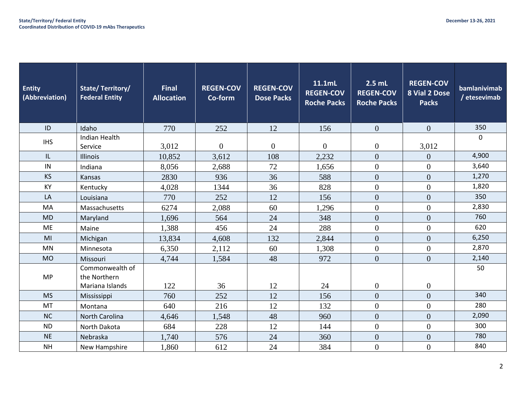| <b>Entity</b><br>(Abbreviation) | State/Territory/<br><b>Federal Entity</b>          | <b>Final</b><br><b>Allocation</b> | <b>REGEN-COV</b><br>Co-form | <b>REGEN-COV</b><br><b>Dose Packs</b> | 11.1mL<br><b>REGEN-COV</b><br><b>Roche Packs</b> | $2.5$ mL<br><b>REGEN-COV</b><br><b>Roche Packs</b> | <b>REGEN-COV</b><br>8 Vial 2 Dose<br><b>Packs</b> | bamlanivimab<br>/ etesevimab |
|---------------------------------|----------------------------------------------------|-----------------------------------|-----------------------------|---------------------------------------|--------------------------------------------------|----------------------------------------------------|---------------------------------------------------|------------------------------|
| ID                              | Idaho                                              | 770                               | 252                         | 12                                    | 156                                              | $\overline{0}$                                     | $\overline{0}$                                    | 350                          |
| <b>IHS</b>                      | <b>Indian Health</b><br>Service                    | 3,012                             | $\Omega$                    | $\overline{0}$                        | $\theta$                                         | $\overline{0}$                                     | 3,012                                             | $\mathbf{0}$                 |
| IL                              | Illinois                                           | 10,852                            | 3,612                       | 108                                   | 2,232                                            | $\overline{0}$                                     | $\overline{0}$                                    | 4,900                        |
| IN                              | Indiana                                            | 8,056                             | 2,688                       | 72                                    | 1,656                                            | $\overline{0}$                                     | $\overline{0}$                                    | 3,640                        |
| <b>KS</b>                       | Kansas                                             | 2830                              | 936                         | 36                                    | 588                                              | $\overline{0}$                                     | $\overline{0}$                                    | 1,270                        |
| KY                              | Kentucky                                           | 4,028                             | 1344                        | 36                                    | 828                                              | $\boldsymbol{0}$                                   | $\boldsymbol{0}$                                  | 1,820                        |
| LA                              | Louisiana                                          | 770                               | 252                         | 12                                    | 156                                              | $\Omega$                                           | $\Omega$                                          | 350                          |
| MA                              | Massachusetts                                      | 6274                              | 2,088                       | 60                                    | 1,296                                            | $\overline{0}$                                     | $\overline{0}$                                    | 2,830                        |
| <b>MD</b>                       | Maryland                                           | 1,696                             | 564                         | 24                                    | 348                                              | $\theta$                                           | $\overline{0}$                                    | 760                          |
| ME                              | Maine                                              | 1,388                             | 456                         | 24                                    | 288                                              | $\overline{0}$                                     | $\overline{0}$                                    | 620                          |
| MI                              | Michigan                                           | 13,834                            | 4,608                       | 132                                   | 2,844                                            | $\theta$                                           | $\overline{0}$                                    | 6,250                        |
| <b>MN</b>                       | Minnesota                                          | 6,350                             | 2,112                       | 60                                    | 1,308                                            | $\mathbf{0}$                                       | $\mathbf{0}$                                      | 2,870                        |
| <b>MO</b>                       | Missouri                                           | 4,744                             | 1,584                       | 48                                    | 972                                              | $\theta$                                           | $\overline{0}$                                    | 2,140                        |
| <b>MP</b>                       | Commonwealth of<br>the Northern<br>Mariana Islands | 122                               | 36                          | 12                                    | 24                                               | $\boldsymbol{0}$                                   | $\boldsymbol{0}$                                  | 50                           |
| <b>MS</b>                       | Mississippi                                        | 760                               | 252                         | 12                                    | 156                                              | $\overline{0}$                                     | $\overline{0}$                                    | 340                          |
| <b>MT</b>                       | Montana                                            | 640                               | 216                         | 12                                    | 132                                              | $\overline{0}$                                     | $\overline{0}$                                    | 280                          |
| <b>NC</b>                       | North Carolina                                     | 4,646                             | 1,548                       | 48                                    | 960                                              | $\overline{0}$                                     | $\overline{0}$                                    | 2,090                        |
| <b>ND</b>                       | North Dakota                                       | 684                               | 228                         | 12                                    | 144                                              | $\boldsymbol{0}$                                   | $\overline{0}$                                    | 300                          |
| <b>NE</b>                       | Nebraska                                           | 1,740                             | 576                         | 24                                    | 360                                              | $\overline{0}$                                     | $\overline{0}$                                    | 780                          |
| <b>NH</b>                       | New Hampshire                                      | 1,860                             | 612                         | 24                                    | 384                                              | $\boldsymbol{0}$                                   | $\overline{0}$                                    | 840                          |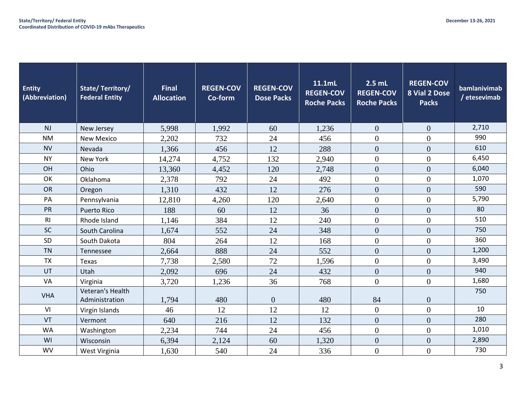| Entity<br>(Abbreviation) | <b>State/Territory/</b><br><b>Federal Entity</b> | <b>Final</b><br><b>Allocation</b> | <b>REGEN-COV</b><br>Co-form | <b>REGEN-COV</b><br><b>Dose Packs</b> | 11.1mL<br><b>REGEN-COV</b><br><b>Roche Packs</b> | $2.5$ mL<br><b>REGEN-COV</b><br><b>Roche Packs</b> | <b>REGEN-COV</b><br>8 Vial 2 Dose<br><b>Packs</b> | bamlanivimab<br>/ etesevimab |
|--------------------------|--------------------------------------------------|-----------------------------------|-----------------------------|---------------------------------------|--------------------------------------------------|----------------------------------------------------|---------------------------------------------------|------------------------------|
| NJ                       | New Jersey                                       | 5,998                             | 1,992                       | 60                                    | 1,236                                            | $\overline{0}$                                     | $\overline{0}$                                    | 2,710                        |
| <b>NM</b>                | <b>New Mexico</b>                                | 2,202                             | 732                         | 24                                    | 456                                              | $\overline{0}$                                     | $\overline{0}$                                    | 990                          |
| <b>NV</b>                | Nevada                                           | 1,366                             | 456                         | 12                                    | 288                                              | $\overline{0}$                                     | $\overline{0}$                                    | 610                          |
| <b>NY</b>                | New York                                         | 14,274                            | 4,752                       | 132                                   | 2,940                                            | $\overline{0}$                                     | $\overline{0}$                                    | 6,450                        |
| OH                       | Ohio                                             | 13,360                            | 4,452                       | 120                                   | 2,748                                            | $\overline{0}$                                     | $\overline{0}$                                    | 6,040                        |
| OK                       | Oklahoma                                         | 2,378                             | 792                         | 24                                    | 492                                              | $\overline{0}$                                     | $\overline{0}$                                    | 1,070                        |
| OR                       | Oregon                                           | 1,310                             | 432                         | 12                                    | 276                                              | $\overline{0}$                                     | $\overline{0}$                                    | 590                          |
| PA                       | Pennsylvania                                     | 12,810                            | 4,260                       | 120                                   | 2,640                                            | $\overline{0}$                                     | $\overline{0}$                                    | 5,790                        |
| PR                       | <b>Puerto Rico</b>                               | 188                               | 60                          | 12                                    | 36                                               | $\theta$                                           | $\overline{0}$                                    | 80                           |
| R <sub>l</sub>           | Rhode Island                                     | 1,146                             | 384                         | 12                                    | 240                                              | $\overline{0}$                                     | $\overline{0}$                                    | 510                          |
| SC                       | South Carolina                                   | 1,674                             | 552                         | 24                                    | 348                                              | $\overline{0}$                                     | $\overline{0}$                                    | 750                          |
| SD                       | South Dakota                                     | 804                               | 264                         | 12                                    | 168                                              | $\Omega$                                           | $\Omega$                                          | 360                          |
| <b>TN</b>                | Tennessee                                        | 2,664                             | 888                         | 24                                    | 552                                              | $\overline{0}$                                     | $\overline{0}$                                    | 1,200                        |
| <b>TX</b>                | Texas                                            | 7,738                             | 2,580                       | 72                                    | 1,596                                            | $\theta$                                           | $\overline{0}$                                    | 3,490                        |
| UT                       | Utah                                             | 2,092                             | 696                         | 24                                    | 432                                              | $\overline{0}$                                     | $\overline{0}$                                    | 940                          |
| VA                       | Virginia                                         | 3,720                             | 1,236                       | 36                                    | 768                                              | $\overline{0}$                                     | $\overline{0}$                                    | 1,680                        |
| <b>VHA</b>               | Veteran's Health<br>Administration               | 1,794                             | 480                         | $\overline{0}$                        | 480                                              | 84                                                 | $\overline{0}$                                    | 750                          |
| VI                       | Virgin Islands                                   | 46                                | 12                          | 12                                    | 12                                               | $\boldsymbol{0}$                                   | $\overline{0}$                                    | 10                           |
| VT                       | Vermont                                          | 640                               | 216                         | 12                                    | 132                                              | $\overline{0}$                                     | $\overline{0}$                                    | 280                          |
| <b>WA</b>                | Washington                                       | 2,234                             | 744                         | 24                                    | 456                                              | $\boldsymbol{0}$                                   | $\overline{0}$                                    | 1,010                        |
| WI                       | Wisconsin                                        | 6,394                             | 2,124                       | 60                                    | 1,320                                            | $\overline{0}$                                     | $\overline{0}$                                    | 2,890                        |
| <b>WV</b>                | West Virginia                                    | 1,630                             | 540                         | 24                                    | 336                                              | $\overline{0}$                                     | $\overline{0}$                                    | 730                          |